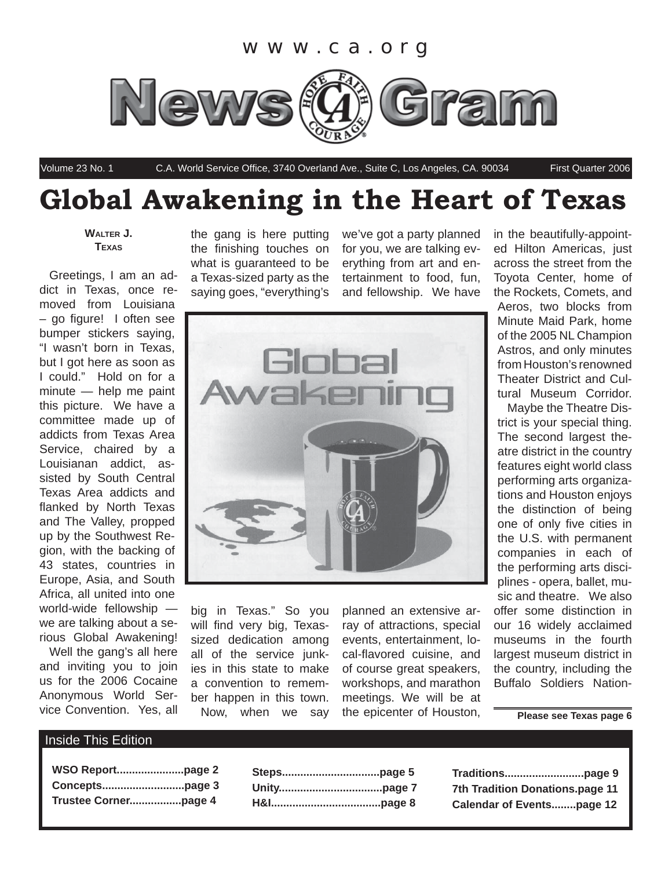

Volume 23 No. 1 C.A. World Service Office, 3740 Overland Ave., Suite C, Los Angeles, CA. 90034 First Quarter 2006

## **Global Awakening in the Heart of Texas**

**WALTER J. TEXAS**

Greetings, I am an addict in Texas, once removed from Louisiana – go figure! I often see bumper stickers saying, "I wasn't born in Texas, but I got here as soon as I could." Hold on for a minute — help me paint this picture. We have a committee made up of addicts from Texas Area Service, chaired by a Louisianan addict, assisted by South Central Texas Area addicts and flanked by North Texas and The Valley, propped up by the Southwest Region, with the backing of 43 states, countries in Europe, Asia, and South Africa, all united into one world-wide fellowship we are talking about a serious Global Awakening!

Well the gang's all here and inviting you to join us for the 2006 Cocaine Anonymous World Service Convention. Yes, all the gang is here putting the finishing touches on what is guaranteed to be a Texas-sized party as the saying goes, "everything's we've got a party planned for you, we are talking everything from art and entertainment to food, fun, and fellowship. We have



big in Texas." So you will find very big, Texassized dedication among all of the service junkies in this state to make a convention to remember happen in this town. Now, when we say

planned an extensive array of attractions, special events, entertainment, local-flavored cuisine, and of course great speakers, workshops, and marathon meetings. We will be at the epicenter of Houston,

in the beautifully-appointed Hilton Americas, just across the street from the Toyota Center, home of the Rockets, Comets, and Aeros, two blocks from Minute Maid Park, home of the 2005 NL Champion Astros, and only minutes

from Houston's renowned Theater District and Cultural Museum Corridor. Maybe the Theatre District is your special thing. The second largest theatre district in the country

features eight world class performing arts organizations and Houston enjoys the distinction of being one of only five cities in the U.S. with permanent companies in each of the performing arts disciplines - opera, ballet, music and theatre. We also offer some distinction in our 16 widely acclaimed museums in the fourth largest museum district in the country, including the Buffalo Soldiers Nation-

**Please see Texas page 6**

### Inside This Edition

| WSO Reportpage 2 |  |
|------------------|--|
|                  |  |
|                  |  |

**Traditions..........................page 9 7th Tradition Donations.page 11 Calendar of Events........page 12**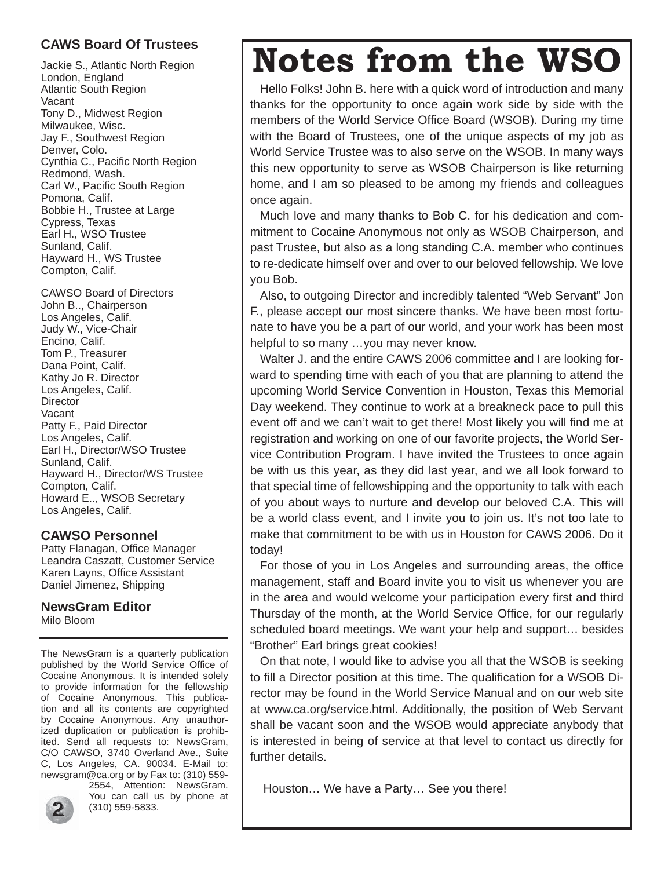## **CAWS Board Of Trustees**

Jackie S., Atlantic North Region London, England Atlantic South Region Vacant Tony D., Midwest Region Milwaukee, Wisc. Jay F., Southwest Region Denver, Colo. Cynthia C., Pacific North Region Redmond, Wash. Carl W., Pacific South Region Pomona, Calif. Bobbie H., Trustee at Large Cypress, Texas Earl H., WSO Trustee Sunland, Calif. Hayward H., WS Trustee Compton, Calif.

CAWSO Board of Directors John B.., Chairperson Los Angeles, Calif. Judy W., Vice-Chair Encino, Calif. Tom P., Treasurer Dana Point, Calif. Kathy Jo R. Director Los Angeles, Calif. **Director** Vacant Patty F., Paid Director Los Angeles, Calif. Earl H., Director/WSO Trustee Sunland, Calif. Hayward H., Director/WS Trustee Compton, Calif. Howard E.., WSOB Secretary Los Angeles, Calif.

## **CAWSO Personnel**

Patty Flanagan, Office Manager Leandra Caszatt, Customer Service Karen Layns, Office Assistant Daniel Jimenez, Shipping

**NewsGram Editor** Milo Bloom

The NewsGram is a quarterly publication published by the World Service Office of Cocaine Anonymous. It is intended solely to provide information for the fellowship of Cocaine Anonymous. This publication and all its contents are copyrighted by Cocaine Anonymous. Any unauthorized duplication or publication is prohibited. Send all requests to: NewsGram, C/O CAWSO, 3740 Overland Ave., Suite C, Los Angeles, CA. 90034. E-Mail to: newsgram@ca.org or by Fax to: (310) 559-



2554, Attention: NewsGram. You can call us by phone at (310) 559-5833.

## **Notes from the WSO**

Hello Folks! John B. here with a quick word of introduction and many thanks for the opportunity to once again work side by side with the members of the World Service Office Board (WSOB). During my time with the Board of Trustees, one of the unique aspects of my job as World Service Trustee was to also serve on the WSOB. In many ways this new opportunity to serve as WSOB Chairperson is like returning home, and I am so pleased to be among my friends and colleagues once again.

Much love and many thanks to Bob C. for his dedication and commitment to Cocaine Anonymous not only as WSOB Chairperson, and past Trustee, but also as a long standing C.A. member who continues to re-dedicate himself over and over to our beloved fellowship. We love you Bob.

Also, to outgoing Director and incredibly talented "Web Servant" Jon F., please accept our most sincere thanks. We have been most fortunate to have you be a part of our world, and your work has been most helpful to so many …you may never know.

Walter J. and the entire CAWS 2006 committee and I are looking forward to spending time with each of you that are planning to attend the upcoming World Service Convention in Houston, Texas this Memorial Day weekend. They continue to work at a breakneck pace to pull this event off and we can't wait to get there! Most likely you will find me at registration and working on one of our favorite projects, the World Service Contribution Program. I have invited the Trustees to once again be with us this year, as they did last year, and we all look forward to that special time of fellowshipping and the opportunity to talk with each of you about ways to nurture and develop our beloved C.A. This will be a world class event, and I invite you to join us. It's not too late to make that commitment to be with us in Houston for CAWS 2006. Do it today!

For those of you in Los Angeles and surrounding areas, the office management, staff and Board invite you to visit us whenever you are in the area and would welcome your participation every first and third Thursday of the month, at the World Service Office, for our regularly scheduled board meetings. We want your help and support… besides "Brother" Earl brings great cookies!

On that note, I would like to advise you all that the WSOB is seeking to fill a Director position at this time. The qualification for a WSOB Director may be found in the World Service Manual and on our web site at www.ca.org/service.html. Additionally, the position of Web Servant shall be vacant soon and the WSOB would appreciate anybody that is interested in being of service at that level to contact us directly for further details.

Houston… We have a Party… See you there!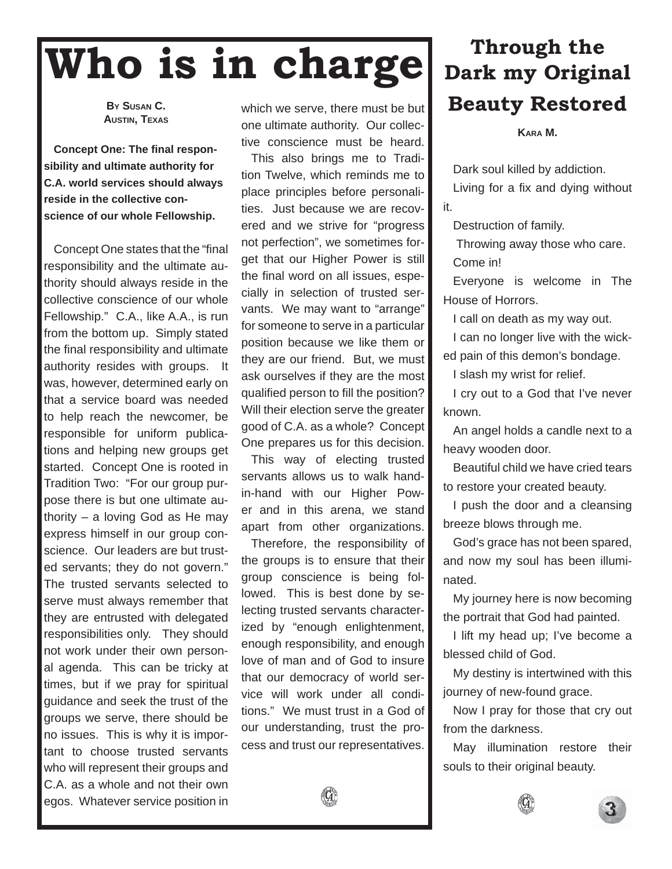## **Who is in charge**

**BY SUSAN C. AUSTIN, TEXAS**

**Concept One: The final responsibility and ultimate authority for C.A. world services should always reside in the collective conscience of our whole Fellowship.**

Concept One states that the "final" responsibility and the ultimate authority should always reside in the collective conscience of our whole Fellowship." C.A., like A.A., is run from the bottom up. Simply stated the final responsibility and ultimate authority resides with groups. It was, however, determined early on that a service board was needed to help reach the newcomer, be responsible for uniform publications and helping new groups get started. Concept One is rooted in Tradition Two: "For our group purpose there is but one ultimate authority – a loving God as He may express himself in our group conscience. Our leaders are but trusted servants; they do not govern." The trusted servants selected to serve must always remember that they are entrusted with delegated responsibilities only. They should not work under their own personal agenda. This can be tricky at times, but if we pray for spiritual guidance and seek the trust of the groups we serve, there should be no issues. This is why it is important to choose trusted servants who will represent their groups and C.A. as a whole and not their own egos. Whatever service position in

which we serve, there must be but one ultimate authority. Our collective conscience must be heard.

This also brings me to Tradition Twelve, which reminds me to place principles before personalities. Just because we are recovered and we strive for "progress not perfection", we sometimes forget that our Higher Power is still the final word on all issues, especially in selection of trusted servants. We may want to "arrange" for someone to serve in a particular position because we like them or they are our friend. But, we must ask ourselves if they are the most qualified person to fill the position? Will their election serve the greater good of C.A. as a whole? Concept One prepares us for this decision.

This way of electing trusted servants allows us to walk handin-hand with our Higher Power and in this arena, we stand apart from other organizations.

Therefore, the responsibility of the groups is to ensure that their group conscience is being followed. This is best done by selecting trusted servants characterized by "enough enlightenment, enough responsibility, and enough love of man and of God to insure that our democracy of world service will work under all conditions." We must trust in a God of our understanding, trust the process and trust our representatives.

## **Through the Dark my Original Beauty Restored**

**KARA M.**

Dark soul killed by addiction. Living for a fix and dying without it.

Destruction of family.

 Throwing away those who care. Come in!

Everyone is welcome in The House of Horrors.

I call on death as my way out.

I can no longer live with the wick-

ed pain of this demon's bondage.

I slash my wrist for relief.

I cry out to a God that I've never known.

An angel holds a candle next to a heavy wooden door.

Beautiful child we have cried tears to restore your created beauty.

I push the door and a cleansing breeze blows through me.

God's grace has not been spared, and now my soul has been illuminated.

My journey here is now becoming the portrait that God had painted.

I lift my head up; I've become a blessed child of God.

My destiny is intertwined with this journey of new-found grace.

Now I pray for those that cry out from the darkness.

May illumination restore their souls to their original beauty.



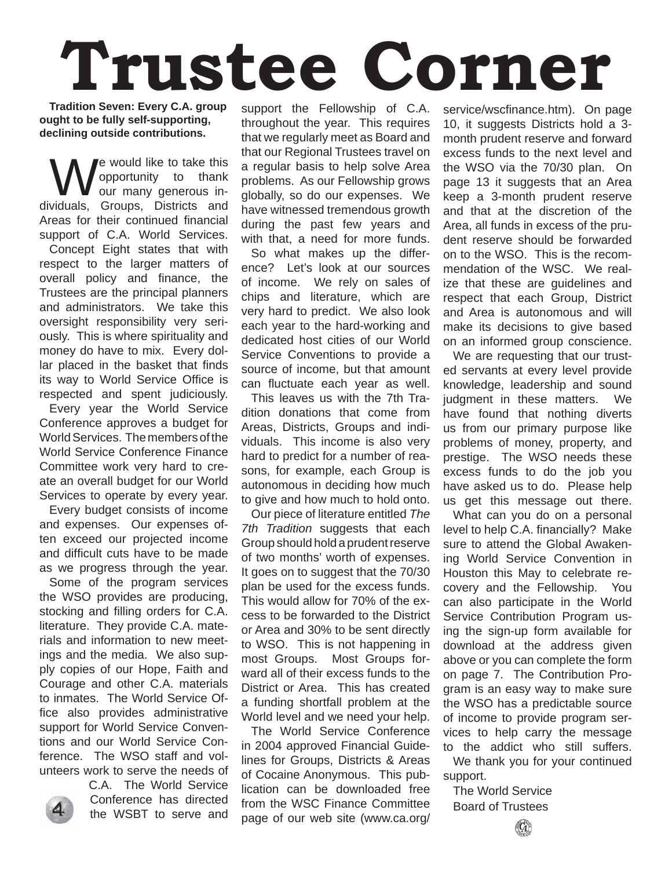# **Trustee Corner**

**Tradition Seven: Every C.A. group ought to be fully self-supporting, declining outside contributions.**

e would like to take this opportunity to thank our many generous individuals, Groups, Districts and Areas for their continued financial support of C.A. World Services. Concept Eight states that with respect to the larger matters of overall policy and finance, the Trustees are the principal planners and administrators. We take this oversight responsibility very seriously. This is where spirituality and money do have to mix. Every dollar placed in the basket that finds its way to World Service Office is respected and spent judiciously.

Every year the World Service Conference approves a budget for World Services. The members of the World Service Conference Finance Committee work very hard to create an overall budget for our World Services to operate by every year.

Every budget consists of income and expenses. Our expenses often exceed our projected income and difficult cuts have to be made as we progress through the year.

Some of the program services the WSO provides are producing, stocking and filling orders for C.A. literature. They provide C.A. materials and information to new meetings and the media. We also supply copies of our Hope, Faith and Courage and other C.A. materials to inmates. The World Service Office also provides administrative support for World Service Conventions and our World Service Conference. The WSO staff and volunteers work to serve the needs of

C.A. The World Service Conference has directed the WSBT to serve and

support the Fellowship of C.A. throughout the year. This requires that we regularly meet as Board and that our Regional Trustees travel on a regular basis to help solve Area problems. As our Fellowship grows globally, so do our expenses. We have witnessed tremendous growth during the past few years and with that, a need for more funds.

So what makes up the difference? Let's look at our sources of income. We rely on sales of chips and literature, which are very hard to predict. We also look each year to the hard-working and dedicated host cities of our World Service Conventions to provide a source of income, but that amount can fluctuate each year as well.

This leaves us with the 7th Tradition donations that come from Areas, Districts, Groups and individuals. This income is also very hard to predict for a number of reasons, for example, each Group is autonomous in deciding how much to give and how much to hold onto.

Our piece of literature entitled *The 7th Tradition* suggests that each Group should hold a prudent reserve of two months' worth of expenses. It goes on to suggest that the 70/30 plan be used for the excess funds. This would allow for 70% of the excess to be forwarded to the District or Area and 30% to be sent directly to WSO. This is not happening in most Groups. Most Groups forward all of their excess funds to the District or Area. This has created a funding shortfall problem at the World level and we need your help.

The World Service Conference in 2004 approved Financial Guidelines for Groups, Districts & Areas of Cocaine Anonymous. This publication can be downloaded free from the WSC Finance Committee page of our web site (www.ca.org/ service/wscfinance.htm). On page 10, it suggests Districts hold a 3 month prudent reserve and forward excess funds to the next level and the WSO via the 70/30 plan. On page 13 it suggests that an Area keep a 3-month prudent reserve and that at the discretion of the Area, all funds in excess of the prudent reserve should be forwarded on to the WSO. This is the recommendation of the WSC. We realize that these are guidelines and respect that each Group, District and Area is autonomous and will make its decisions to give based on an informed group conscience.

We are requesting that our trusted servants at every level provide knowledge, leadership and sound judgment in these matters. We have found that nothing diverts us from our primary purpose like problems of money, property, and prestige. The WSO needs these excess funds to do the job you have asked us to do. Please help us get this message out there.

What can you do on a personal level to help C.A. financially? Make sure to attend the Global Awakening World Service Convention in Houston this May to celebrate recovery and the Fellowship. You can also participate in the World Service Contribution Program using the sign-up form available for download at the address given above or you can complete the form on page 7. The Contribution Program is an easy way to make sure the WSO has a predictable source of income to provide program services to help carry the message to the addict who still suffers. We thank you for your continued support.

The World Service Board of Trustees

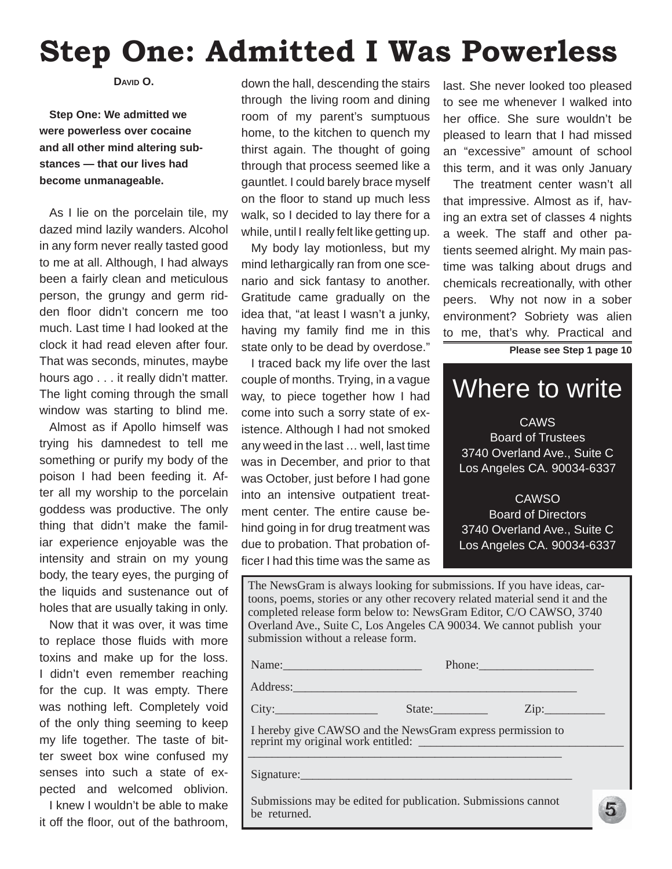## **Step One: Admitted I Was Powerless**

**DAVID O.**

## **Step One: We admitted we were powerless over cocaine and all other mind altering substances — that our lives had become unmanageable.**

As I lie on the porcelain tile, my dazed mind lazily wanders. Alcohol in any form never really tasted good to me at all. Although, I had always been a fairly clean and meticulous person, the grungy and germ ridden floor didn't concern me too much. Last time I had looked at the clock it had read eleven after four. That was seconds, minutes, maybe hours ago . . . it really didn't matter. The light coming through the small window was starting to blind me.

Almost as if Apollo himself was trying his damnedest to tell me something or purify my body of the poison I had been feeding it. After all my worship to the porcelain goddess was productive. The only thing that didn't make the familiar experience enjoyable was the intensity and strain on my young body, the teary eyes, the purging of the liquids and sustenance out of holes that are usually taking in only.

Now that it was over, it was time to replace those fluids with more toxins and make up for the loss. I didn't even remember reaching for the cup. It was empty. There was nothing left. Completely void of the only thing seeming to keep my life together. The taste of bitter sweet box wine confused my senses into such a state of expected and welcomed oblivion.

I knew I wouldn't be able to make it off the floor, out of the bathroom.

down the hall, descending the stairs through the living room and dining room of my parent's sumptuous home, to the kitchen to quench my thirst again. The thought of going through that process seemed like a gauntlet. I could barely brace myself on the floor to stand up much less walk, so I decided to lay there for a while, until I really felt like getting up.

My body lay motionless, but my mind lethargically ran from one scenario and sick fantasy to another. Gratitude came gradually on the idea that, "at least I wasn't a junky, having my family find me in this state only to be dead by overdose."

I traced back my life over the last couple of months. Trying, in a vague way, to piece together how I had come into such a sorry state of existence. Although I had not smoked any weed in the last … well, last time was in December, and prior to that was October, just before I had gone into an intensive outpatient treatment center. The entire cause behind going in for drug treatment was due to probation. That probation officer I had this time was the same as

last. She never looked too pleased to see me whenever I walked into her office. She sure wouldn't be pleased to learn that I had missed an "excessive" amount of school this term, and it was only January

The treatment center wasn't all that impressive. Almost as if, having an extra set of classes 4 nights a week. The staff and other patients seemed alright. My main pastime was talking about drugs and chemicals recreationally, with other peers. Why not now in a sober environment? Sobriety was alien to me, that's why. Practical and

**Please see Step 1 page 10**

## Where to write

**CAWS** Board of Trustees 3740 Overland Ave., Suite C Los Angeles CA. 90034-6337

**CAWSO** Board of Directors 3740 Overland Ave., Suite C Los Angeles CA. 90034-6337

5

The NewsGram is always looking for submissions. If you have ideas, cartoons, poems, stories or any other recovery related material send it and the completed release form below to: NewsGram Editor, C/O CAWSO, 3740 Overland Ave., Suite C, Los Angeles CA 90034. We cannot publish your submission without a release form.

| Name:    |        | Phone: |      |
|----------|--------|--------|------|
| Address: |        |        |      |
| City:    | State: |        | Zip: |

 I hereby give CAWSO and the NewsGram express permission to reprint my original work entitled:  $\overbrace{\phantom{xxxxx}}^{x}$ 

Signature:

 Submissions may be edited for publication. Submissions cannot be returned.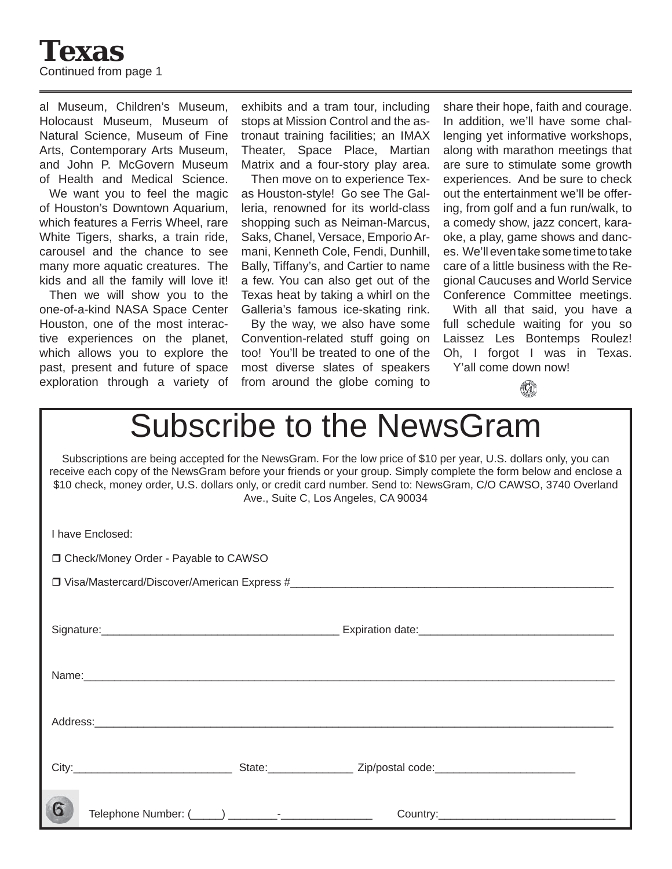

al Museum, Children's Museum, Holocaust Museum, Museum of Natural Science, Museum of Fine Arts, Contemporary Arts Museum, and John P. McGovern Museum of Health and Medical Science.

We want you to feel the magic of Houston's Downtown Aquarium, which features a Ferris Wheel, rare White Tigers, sharks, a train ride, carousel and the chance to see many more aquatic creatures. The kids and all the family will love it!

Then we will show you to the one-of-a-kind NASA Space Center Houston, one of the most interactive experiences on the planet, which allows you to explore the past, present and future of space exploration through a variety of

exhibits and a tram tour, including stops at Mission Control and the astronaut training facilities; an IMAX Theater, Space Place, Martian Matrix and a four-story play area.

Then move on to experience Texas Houston-style! Go see The Galleria, renowned for its world-class shopping such as Neiman-Marcus, Saks, Chanel, Versace, Emporio Armani, Kenneth Cole, Fendi, Dunhill, Bally, Tiffany's, and Cartier to name a few. You can also get out of the Texas heat by taking a whirl on the Galleria's famous ice-skating rink.

By the way, we also have some Convention-related stuff going on too! You'll be treated to one of the most diverse slates of speakers from around the globe coming to share their hope, faith and courage. In addition, we'll have some challenging yet informative workshops, along with marathon meetings that are sure to stimulate some growth experiences. And be sure to check out the entertainment we'll be offering, from golf and a fun run/walk, to a comedy show, jazz concert, karaoke, a play, game shows and dances. We'll even take some time to take care of a little business with the Regional Caucuses and World Service Conference Committee meetings.

With all that said, you have a full schedule waiting for you so Laissez Les Bontemps Roulez! Oh, I forgot I was in Texas. Y'all come down now!



## Subscribe to the NewsGram

Subscriptions are being accepted for the NewsGram. For the low price of \$10 per year, U.S. dollars only, you can receive each copy of the NewsGram before your friends or your group. Simply complete the form below and enclose a \$10 check, money order, U.S. dollars only, or credit card number. Send to: NewsGram, C/O CAWSO, 3740 Overland Ave., Suite C, Los Angeles, CA 90034

| I have Enclosed:                       |  |
|----------------------------------------|--|
| □ Check/Money Order - Payable to CAWSO |  |
|                                        |  |
|                                        |  |
|                                        |  |
|                                        |  |
|                                        |  |
|                                        |  |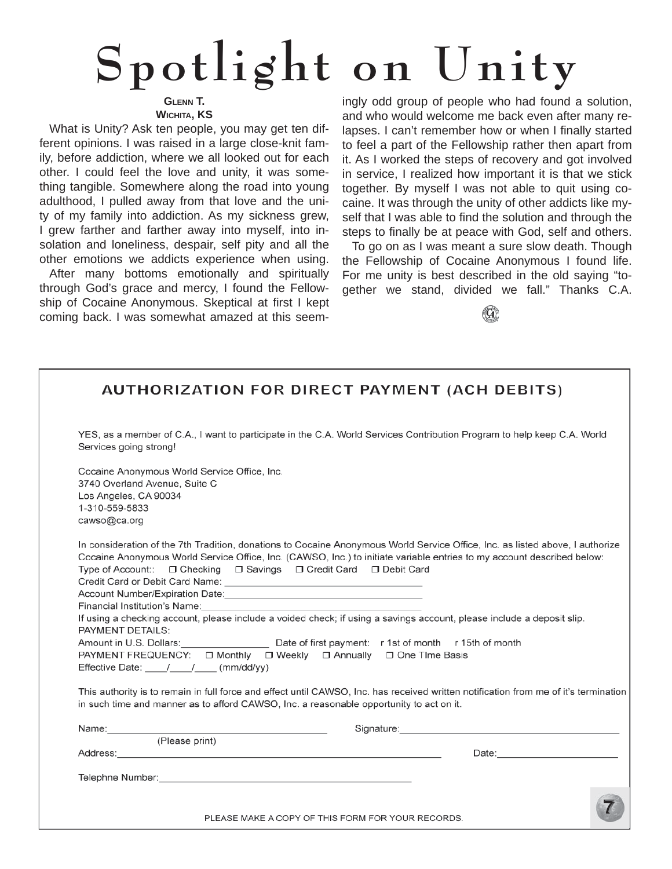# **Spotlight on Unity**

## **GLENN T.**

**WICHITA, KS**

What is Unity? Ask ten people, you may get ten different opinions. I was raised in a large close-knit family, before addiction, where we all looked out for each other. I could feel the love and unity, it was something tangible. Somewhere along the road into young adulthood, I pulled away from that love and the unity of my family into addiction. As my sickness grew, I grew farther and farther away into myself, into insolation and loneliness, despair, self pity and all the other emotions we addicts experience when using.

After many bottoms emotionally and spiritually through God's grace and mercy, I found the Fellowship of Cocaine Anonymous. Skeptical at first I kept coming back. I was somewhat amazed at this seem-

ingly odd group of people who had found a solution, and who would welcome me back even after many relapses. I can't remember how or when I finally started to feel a part of the Fellowship rather then apart from it. As I worked the steps of recovery and got involved in service, I realized how important it is that we stick together. By myself I was not able to quit using cocaine. It was through the unity of other addicts like myself that I was able to find the solution and through the steps to finally be at peace with God, self and others.

To go on as I was meant a sure slow death. Though the Fellowship of Cocaine Anonymous I found life. For me unity is best described in the old saying "together we stand, divided we fall." Thanks C.A.

|                                                                                                                                                                                                                                | <b>AUTHORIZATION FOR DIRECT PAYMENT (ACH DEBITS)</b>                                                                                                                                                                                                    |
|--------------------------------------------------------------------------------------------------------------------------------------------------------------------------------------------------------------------------------|---------------------------------------------------------------------------------------------------------------------------------------------------------------------------------------------------------------------------------------------------------|
| Services going strong!                                                                                                                                                                                                         | YES, as a member of C.A., I want to participate in the C.A. World Services Contribution Program to help keep C.A. World                                                                                                                                 |
| Cocaine Anonymous World Service Office, Inc.<br>3740 Overland Avenue, Suite C<br>Los Angeles, CA 90034<br>1-310-559-5833<br>cawso@ca.org                                                                                       |                                                                                                                                                                                                                                                         |
| Type of Account:: □ Checking □ Savings □ Credit Card □ Debit Card                                                                                                                                                              | In consideration of the 7th Tradition, donations to Cocaine Anonymous World Service Office, Inc. as listed above, I authorize<br>Cocaine Anonymous World Service Office, Inc. (CAWSO, Inc.) to initiate variable entries to my account described below: |
| Financial Institution's Name:<br><b>PAYMENT DETAILS:</b>                                                                                                                                                                       | If using a checking account, please include a voided check; if using a savings account, please include a deposit slip.                                                                                                                                  |
| Effective Date: / / / (mm/dd/yy)                                                                                                                                                                                               | Amount in U.S. Dollars: Date of first payment: r 1st of month r 15th of month<br>PAYMENT FREQUENCY: □ Monthly □ Weekly □ Annually □ One Time Basis                                                                                                      |
| in such time and manner as to afford CAWSO, Inc. a reasonable opportunity to act on it.                                                                                                                                        | This authority is to remain in full force and effect until CAWSO, Inc. has received written notification from me of it's termination                                                                                                                    |
|                                                                                                                                                                                                                                | Signature: <u>contract and a series of the series of the series of the series of the series of the series of the series of the series of the series of the series of the series of the series of the series of the series of the</u>                    |
| (Please print)                                                                                                                                                                                                                 |                                                                                                                                                                                                                                                         |
|                                                                                                                                                                                                                                |                                                                                                                                                                                                                                                         |
| Telephne Number: with a state of the state of the state of the state of the state of the state of the state of the state of the state of the state of the state of the state of the state of the state of the state of the sta |                                                                                                                                                                                                                                                         |
|                                                                                                                                                                                                                                |                                                                                                                                                                                                                                                         |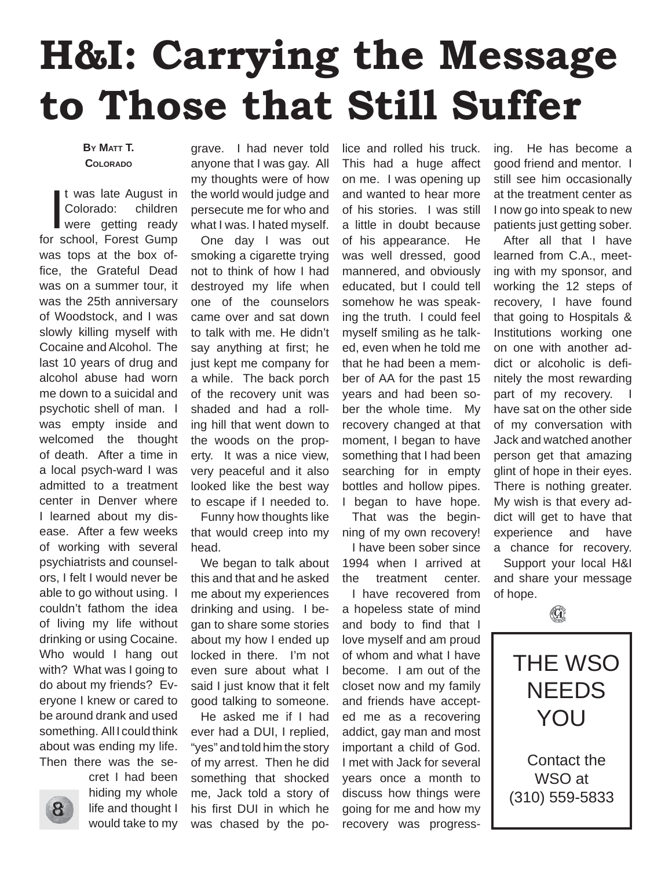## **H&I: Carrying the Message to Those that Still Suffer**

### **BY MATT T. COLORADO**

t was late August in<br>
Colorado: children<br>
were getting ready<br>
for school, Forest Gump t was late August in Colorado: children were getting ready was tops at the box office, the Grateful Dead was on a summer tour, it was the 25th anniversary of Woodstock, and I was slowly killing myself with Cocaine and Alcohol. The last 10 years of drug and alcohol abuse had worn me down to a suicidal and psychotic shell of man. I was empty inside and welcomed the thought of death. After a time in a local psych-ward I was admitted to a treatment center in Denver where I learned about my disease. After a few weeks of working with several psychiatrists and counselors, I felt I would never be able to go without using. I couldn't fathom the idea of living my life without drinking or using Cocaine. Who would I hang out with? What was I going to do about my friends? Everyone I knew or cared to be around drank and used something. All I could think about was ending my life. Then there was the se-



cret I had been hiding my whole life and thought I would take to my

grave. I had never told anyone that I was gay. All my thoughts were of how the world would judge and persecute me for who and what I was. I hated myself.

One day I was out smoking a cigarette trying not to think of how I had destroyed my life when one of the counselors came over and sat down to talk with me. He didn't say anything at first; he just kept me company for a while. The back porch of the recovery unit was shaded and had a rolling hill that went down to the woods on the property. It was a nice view, very peaceful and it also looked like the best way to escape if I needed to.

Funny how thoughts like that would creep into my head.

We began to talk about this and that and he asked me about my experiences drinking and using. I began to share some stories about my how I ended up locked in there. I'm not even sure about what I said I just know that it felt good talking to someone.

He asked me if I had ever had a DUI, I replied, "yes" and told him the story of my arrest. Then he did something that shocked me, Jack told a story of his first DUI in which he was chased by the police and rolled his truck. This had a huge affect on me. I was opening up and wanted to hear more of his stories. I was still a little in doubt because of his appearance. He was well dressed, good mannered, and obviously educated, but I could tell somehow he was speaking the truth. I could feel myself smiling as he talked, even when he told me that he had been a member of AA for the past 15 years and had been sober the whole time. My recovery changed at that moment, I began to have something that I had been searching for in empty bottles and hollow pipes. I began to have hope.

That was the beginning of my own recovery!

I have been sober since 1994 when I arrived at the treatment center.

I have recovered from a hopeless state of mind and body to find that I love myself and am proud of whom and what I have become. I am out of the closet now and my family and friends have accepted me as a recovering addict, gay man and most important a child of God. I met with Jack for several years once a month to discuss how things were going for me and how my recovery was progress-

ing. He has become a good friend and mentor. I still see him occasionally at the treatment center as I now go into speak to new patients just getting sober.

After all that I have learned from C.A., meeting with my sponsor, and working the 12 steps of recovery, I have found that going to Hospitals & Institutions working one on one with another addict or alcoholic is definitely the most rewarding part of my recovery. have sat on the other side of my conversation with Jack and watched another person get that amazing glint of hope in their eyes. There is nothing greater. My wish is that every addict will get to have that experience and have a chance for recovery. Support your local H&I and share your message of hope.

 $(\mathbf{G})$ THE WSO NEEDS YOU Contact the WSO at (310) 559-5833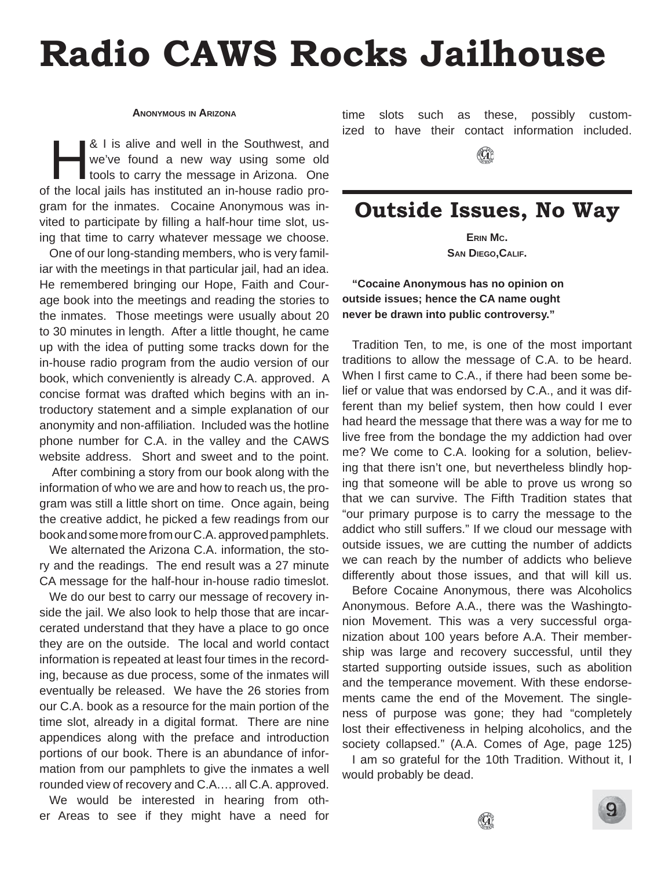## **Radio CAWS Rocks Jailhouse**

#### **ANONYMOUS IN ARIZONA**

& I is alive and well in the Southwest, and<br>
we've found a new way using some old<br>
tools to carry the message in Arizona. One<br>
the legal is here instituted an in house radio are we've found a new way using some old of the local jails has instituted an in-house radio program for the inmates. Cocaine Anonymous was invited to participate by filling a half-hour time slot, using that time to carry whatever message we choose.

One of our long-standing members, who is very familiar with the meetings in that particular jail, had an idea. He remembered bringing our Hope, Faith and Courage book into the meetings and reading the stories to the inmates. Those meetings were usually about 20 to 30 minutes in length. After a little thought, he came up with the idea of putting some tracks down for the in-house radio program from the audio version of our book, which conveniently is already C.A. approved. A concise format was drafted which begins with an introductory statement and a simple explanation of our anonymity and non-affiliation. Included was the hotline phone number for C.A. in the valley and the CAWS website address. Short and sweet and to the point.

 After combining a story from our book along with the information of who we are and how to reach us, the program was still a little short on time. Once again, being the creative addict, he picked a few readings from our book and some more from our C.A. approved pamphlets.

We alternated the Arizona C.A. information, the story and the readings. The end result was a 27 minute CA message for the half-hour in-house radio timeslot.

We do our best to carry our message of recovery inside the jail. We also look to help those that are incarcerated understand that they have a place to go once they are on the outside. The local and world contact information is repeated at least four times in the recording, because as due process, some of the inmates will eventually be released. We have the 26 stories from our C.A. book as a resource for the main portion of the time slot, already in a digital format. There are nine appendices along with the preface and introduction portions of our book. There is an abundance of information from our pamphlets to give the inmates a well rounded view of recovery and C.A.… all C.A. approved.

We would be interested in hearing from other Areas to see if they might have a need for time slots such as these, possibly customized to have their contact information included.

## **Outside Issues, No Way**

**ERIN MC. SAN DIEGO,CALIF.**

**"Cocaine Anonymous has no opinion on outside issues; hence the CA name ought never be drawn into public controversy."**

Tradition Ten, to me, is one of the most important traditions to allow the message of C.A. to be heard. When I first came to C.A., if there had been some belief or value that was endorsed by C.A., and it was different than my belief system, then how could I ever had heard the message that there was a way for me to live free from the bondage the my addiction had over me? We come to C.A. looking for a solution, believing that there isn't one, but nevertheless blindly hoping that someone will be able to prove us wrong so that we can survive. The Fifth Tradition states that "our primary purpose is to carry the message to the addict who still suffers." If we cloud our message with outside issues, we are cutting the number of addicts we can reach by the number of addicts who believe differently about those issues, and that will kill us.

Before Cocaine Anonymous, there was Alcoholics Anonymous. Before A.A., there was the Washingtonion Movement. This was a very successful organization about 100 years before A.A. Their membership was large and recovery successful, until they started supporting outside issues, such as abolition and the temperance movement. With these endorsements came the end of the Movement. The singleness of purpose was gone; they had "completely lost their effectiveness in helping alcoholics, and the society collapsed." (A.A. Comes of Age, page 125)

I am so grateful for the 10th Tradition. Without it, I would probably be dead.



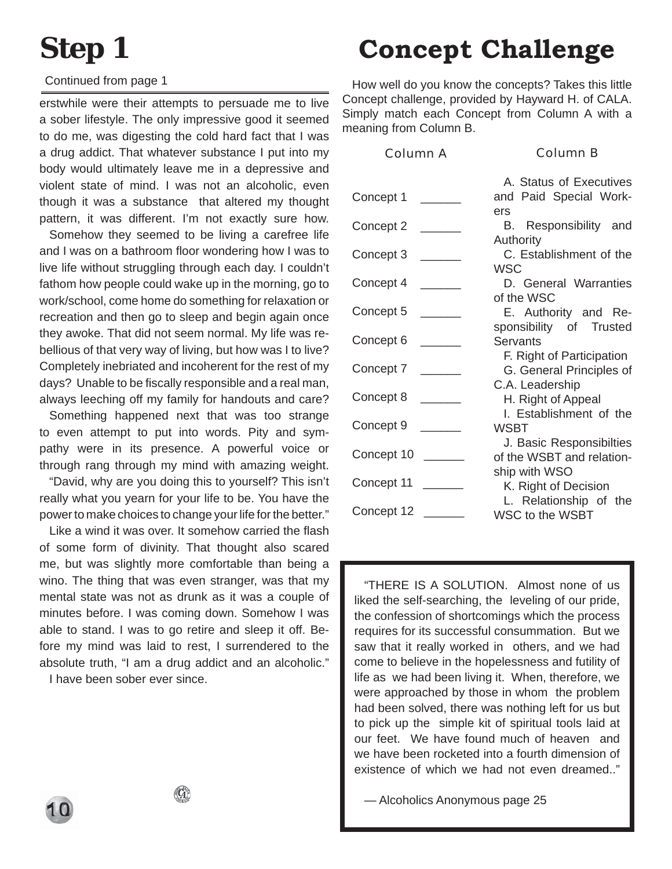## **Step 1**

### Continued from page 1

erstwhile were their attempts to persuade me to live a sober lifestyle. The only impressive good it seemed to do me, was digesting the cold hard fact that I was a drug addict. That whatever substance I put into my body would ultimately leave me in a depressive and violent state of mind. I was not an alcoholic, even though it was a substance that altered my thought pattern, it was different. I'm not exactly sure how.

Somehow they seemed to be living a carefree life and I was on a bathroom floor wondering how I was to live life without struggling through each day. I couldn't fathom how people could wake up in the morning, go to work/school, come home do something for relaxation or recreation and then go to sleep and begin again once they awoke. That did not seem normal. My life was rebellious of that very way of living, but how was I to live? Completely inebriated and incoherent for the rest of my days? Unable to be fiscally responsible and a real man, always leeching off my family for handouts and care?

Something happened next that was too strange to even attempt to put into words. Pity and sympathy were in its presence. A powerful voice or through rang through my mind with amazing weight.

"David, why are you doing this to yourself? This isn't really what you yearn for your life to be. You have the power to make choices to change your life for the better."

Like a wind it was over. It somehow carried the flash of some form of divinity. That thought also scared me, but was slightly more comfortable than being a wino. The thing that was even stranger, was that my mental state was not as drunk as it was a couple of minutes before. I was coming down. Somehow I was able to stand. I was to go retire and sleep it off. Before my mind was laid to rest, I surrendered to the absolute truth, "I am a drug addict and an alcoholic."

I have been sober ever since.

## **Concept Challenge**

How well do you know the concepts? Takes this little Concept challenge, provided by Hayward H. of CALA. Simply match each Concept from Column A with a meaning from Column B.

Column A

Column B

|                                 | A. Status of Executives   |
|---------------------------------|---------------------------|
| Concept 1                       | and Paid Special Work-    |
|                                 | ers                       |
| Concept 2                       | B. Responsibility and     |
|                                 | Authority                 |
| Concept 3                       | C. Establishment of the   |
|                                 | <b>WSC</b>                |
| Concept 4                       | D. General Warranties     |
|                                 | of the WSC                |
| Concept 5                       | E. Authority and Re-      |
|                                 | sponsibility of Trusted   |
| Concept 6                       | <b>Servants</b>           |
|                                 | F. Right of Participation |
| Concept 7                       | G. General Principles of  |
|                                 | C.A. Leadership           |
| Concept 8                       | H. Right of Appeal        |
|                                 | I. Establishment of the   |
| Concept 9                       | <b>WSBT</b>               |
|                                 | J. Basic Responsibilties  |
| Concept 10                      | of the WSBT and relation- |
| Concept 11                      | ship with WSO             |
|                                 | K. Right of Decision      |
| Concept 12 $\rule{1em}{0.15mm}$ | L. Relationship of the    |
|                                 | <b>WSC to the WSBT</b>    |

"THERE IS A SOLUTION. Almost none of us liked the self-searching, the leveling of our pride, the confession of shortcomings which the process requires for its successful consummation. But we saw that it really worked in others, and we had come to believe in the hopelessness and futility of life as we had been living it. When, therefore, we were approached by those in whom the problem had been solved, there was nothing left for us but to pick up the simple kit of spiritual tools laid at our feet. We have found much of heaven and we have been rocketed into a fourth dimension of existence of which we had not even dreamed.."

— Alcoholics Anonymous page 25

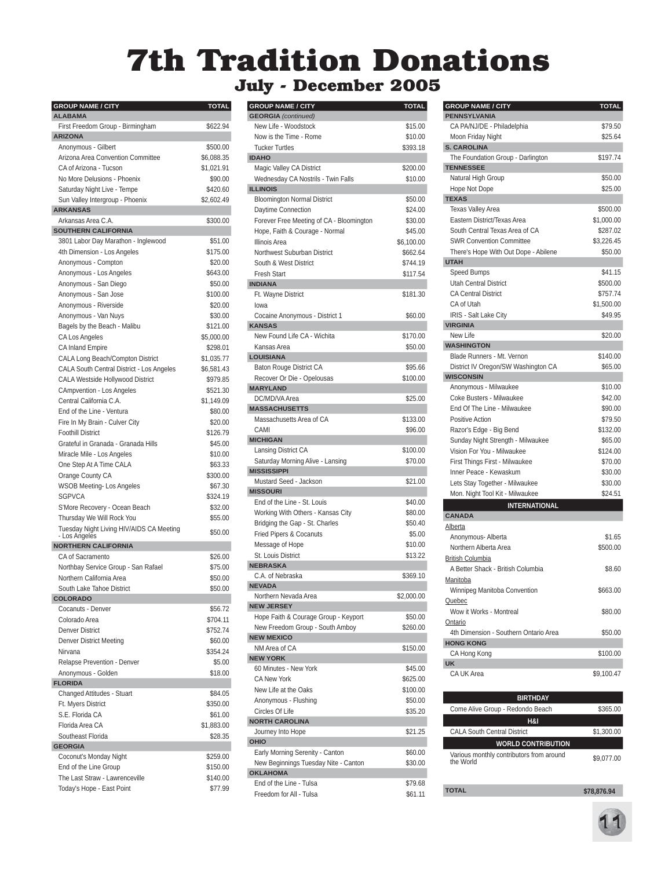## **7th Tradition Donations**

## **July - December 2005**

| <b>GROUP NAME / CITY</b>                                   | TOTAL                |
|------------------------------------------------------------|----------------------|
| <b>ALABAMA</b>                                             | \$622.94             |
| First Freedom Group - Birmingham<br><b>ARIZONA</b>         |                      |
| Anonymous - Gilbert                                        | \$500.00             |
| Arizona Area Convention Committee                          | \$6,088.35           |
| CA of Arizona - Tucson                                     | \$1,021.91           |
| No More Delusions - Phoenix                                | \$90.00              |
| Saturday Night Live - Tempe                                | \$420.60             |
| Sun Valley Intergroup - Phoenix                            | \$2,602.49           |
| <b>ARKANSAS</b>                                            |                      |
| Arkansas Area C.A.                                         | \$300.00             |
| <b>SOUTHERN CALIFORNIA</b>                                 |                      |
| 3801 Labor Day Marathon - Inglewood                        | \$51.00              |
| 4th Dimension - Los Angeles                                | \$175.00             |
| Anonymous - Compton                                        | \$20.00<br>\$643.00  |
| Anonymous - Los Angeles<br>Anonymous - San Diego           | \$50.00              |
| Anonymous - San Jose                                       | \$100.00             |
| Anonymous - Riverside                                      | \$20.00              |
| Anonymous - Van Nuys                                       | \$30.00              |
| Bagels by the Beach - Malibu                               | \$121.00             |
| CA Los Angeles                                             | \$5,000.00           |
| <b>CA Inland Empire</b>                                    | \$298.01             |
| CALA Long Beach/Compton District                           | \$1,035.77           |
| CALA South Central District - Los Angeles                  | \$6.581.43           |
| CALA Westside Hollywood District                           | \$979.85             |
| CAmpvention - Los Angeles                                  | \$521.30             |
| Central California C.A.                                    | \$1,149.09           |
| End of the Line - Ventura                                  | \$80.00              |
| Fire In My Brain - Culver City                             | \$20.00              |
| <b>Foothill District</b>                                   | \$126.79             |
| Grateful in Granada - Granada Hills                        | \$45.00              |
| Miracle Mile - Los Angeles                                 | \$10.00              |
| One Step At A Time CALA                                    | \$63.33              |
| Orange County CA                                           | \$300.00             |
| WSOB Meeting- Los Angeles                                  | \$67.30              |
| <b>SGPVCA</b>                                              | \$324.19             |
| S'More Recovery - Ocean Beach<br>Thursday We Will Rock You | \$32.00<br>\$55.00   |
| Tuesday Night Living HIV/AIDS CA Meeting                   |                      |
| - Los Angeles                                              | \$50.00              |
| <b>NORTHERN CALIFORNIA</b>                                 |                      |
| CA of Sacramento                                           | \$26.00              |
| Northbay Service Group - San Rafael                        | \$75.00              |
| Northern California Area                                   | \$50.00              |
| South Lake Tahoe District<br>COLORADO                      | \$50.00              |
| Cocanuts - Denver                                          | \$56.72              |
| Colorado Area                                              | \$704.11             |
| <b>Denver District</b>                                     | \$752.74             |
| Denver District Meeting                                    | \$60.00              |
| Nirvana                                                    | \$354.24             |
| Relapse Prevention - Denver                                | \$5.00               |
| Anonymous - Golden                                         | \$18.00              |
| <b>FLORIDA</b>                                             |                      |
| Changed Attitudes - Stuart                                 | \$84.05              |
| Ft. Myers District                                         | \$350.00             |
| S.E. Florida CA                                            | \$61.00              |
| Florida Area CA                                            | \$1,883.00           |
| Southeast Florida                                          | \$28.35              |
| <b>GEORGIA</b>                                             |                      |
| Coconut's Monday Night                                     | \$259.00<br>\$150.00 |
| End of the Line Group<br>The Last Straw - Lawrenceville    | \$140.00             |
| Today's Hope - East Point                                  | \$77.99              |
|                                                            |                      |

| <b>GROUP NAME / CITY</b>                 | TOTAL      |
|------------------------------------------|------------|
| <b>GEORGIA</b> (continued)               |            |
| New Life - Woodstock                     | \$15.00    |
| Now is the Time - Rome                   | \$10.00    |
| <b>Tucker Turtles</b>                    | \$393.18   |
| <b>IDAHO</b>                             |            |
| Magic Valley CA District                 | \$200.00   |
| Wednesday CA Nostrils - Twin Falls       | \$10.00    |
| <b>ILLINOIS</b>                          |            |
| <b>Bloomington Normal District</b>       | \$50.00    |
| Daytime Connection                       | \$24.00    |
| Forever Free Meeting of CA - Bloomington | \$30.00    |
| Hope, Faith & Courage - Normal           | \$45.00    |
| <b>Illinois Area</b>                     | \$6,100.00 |
| Northwest Suburban District              | \$662.64   |
| South & West District                    | \$744.19   |
| <b>Fresh Start</b>                       | \$117.54   |
| <b>INDIANA</b>                           |            |
| Ft. Wayne District                       | \$181.30   |
| lowa                                     |            |
| Cocaine Anonymous - District 1           | \$60.00    |
| <b>KANSAS</b>                            |            |
| New Found Life CA - Wichita              | \$170.00   |
| Kansas Area                              | \$50.00    |
| <b>LOUISIANA</b>                         |            |
| Baton Rouge District CA                  | \$95.66    |
| Recover Or Die - Opelousas               | \$100.00   |
| <b>MARYLAND</b>                          |            |
| DC/MD/VA Area                            | \$25.00    |
| <b>MASSACHUSETTS</b>                     |            |
| Massachusetts Area of CA                 | \$133.00   |
| CAMI                                     | \$96.00    |
| <b>MICHIGAN</b>                          |            |
| Lansing District CA                      | \$100.00   |
| Saturday Morning Alive - Lansing         | \$70.00    |
| <b>MISSISSIPPI</b>                       |            |
| Mustard Seed - Jackson                   | \$21.00    |
| <b>MISSOURI</b>                          |            |
| End of the Line - St. Louis              | \$40.00    |
| Working With Others - Kansas City        | \$80.00    |
| Bridging the Gap - St. Charles           | \$50.40    |
| Fried Pipers & Cocanuts                  | \$5.00     |
| Message of Hope                          | \$10.00    |
| St. Louis District                       | \$13.22    |
| <b>NEBRASKA</b>                          |            |
| C.A. of Nebraska                         | \$369.10   |
| <b>NEVADA</b>                            |            |
| Northern Nevada Area                     | \$2,000.00 |
| <b>NEW JERSEY</b>                        |            |
| Hope Faith & Courage Group - Keyport     | \$50.00    |
| New Freedom Group - South Amboy          | \$260.00   |
| <b>NEW MEXICO</b>                        |            |
| NM Area of CA                            | \$150.00   |
| <b>NEW YORK</b>                          |            |
| 60 Minutes - New York                    | \$45.00    |
| <b>CA New York</b>                       | \$625.00   |
| New Life at the Oaks                     | \$100.00   |
| Anonymous - Flushing                     | \$50.00    |
| Circles Of Life                          | \$35.20    |
| <b>NORTH CAROLINA</b>                    |            |
| Journey Into Hope                        | \$21.25    |
| OHIO                                     |            |
| Early Morning Serenity - Canton          | \$60.00    |
| New Beginnings Tuesday Nite - Canton     | \$30.00    |
| <b>OKLAHOMA</b>                          |            |
| End of the Line - Tulsa                  | \$79.68    |
| Freedom for All - Tulsa                  | \$61.11    |
|                                          |            |

| <b>GROUP NAME / CITY</b>              | <b>TOTAL</b> |
|---------------------------------------|--------------|
| <b>PENNSYLVANIA</b>                   |              |
| CA PA/NJ/DE - Philadelphia            | \$79.50      |
| Moon Friday Night                     | \$25.64      |
| <b>S. CAROLINA</b>                    |              |
| The Foundation Group - Darlington     | \$197.74     |
| <b>TENNESSEE</b>                      |              |
| Natural High Group                    | \$50.00      |
| Hope Not Dope                         | \$25.00      |
| <b>TEXAS</b>                          |              |
| <b>Texas Valley Area</b>              | \$500.00     |
| Eastern District/Texas Area           | \$1,000.00   |
| South Central Texas Area of CA        | \$287.02     |
| <b>SWR Convention Committee</b>       | \$3.226.45   |
| There's Hope With Out Dope - Abilene  | \$50.00      |
| <b>UTAH</b>                           |              |
| Speed Bumps                           | \$41.15      |
| <b>Utah Central District</b>          | \$500.00     |
| <b>CA Central District</b>            | \$757.74     |
| CA of Utah                            | \$1,500.00   |
| IRIS - Salt Lake City                 | \$49.95      |
| <b>VIRGINIA</b>                       |              |
| New Life                              | \$20.00      |
| <b>WASHINGTON</b>                     |              |
| Blade Runners - Mt. Vernon            | \$140.00     |
| District IV Oregon/SW Washington CA   | \$65.00      |
| <b>WISCONSIN</b>                      |              |
| Anonymous - Milwaukee                 | \$10.00      |
| Coke Busters - Milwaukee              | \$42.00      |
| End Of The Line - Milwaukee           | \$90.00      |
| Positive Action                       | \$79.50      |
| Razor's Edge - Big Bend               | \$132.00     |
| Sunday Night Strength - Milwaukee     | \$65.00      |
| Vision For You - Milwaukee            | \$124.00     |
| First Things First - Milwaukee        | \$70.00      |
| Inner Peace - Kewaskum                | \$30.00      |
| Lets Stay Together - Milwaukee        | \$30.00      |
| Mon. Night Tool Kit - Milwaukee       | \$24.51      |
| INTERNATIONAL                         |              |
| <b>CANADA</b>                         |              |
| Alberta                               |              |
| Anonymous- Alberta                    | \$1.65       |
| Northern Alberta Area                 | \$500.00     |
| <b>British Columbia</b>               |              |
| A Better Shack - British Columbia     | \$8.60       |
| Manitoba                              |              |
| Winnipeg Manitoba Convention          | \$663.00     |
| Quebec                                |              |
| Wow it Works - Montreal               | \$80.00      |
| <u>Ontario</u>                        |              |
| 4th Dimension - Southern Ontario Area | \$50.00      |
| <b>HONG KONG</b>                      |              |
| CA Hong Kong                          | \$100.00     |
| <b>UK</b>                             |              |
| CA UK Area                            | \$9,100.47   |
|                                       |              |
| <b>BIRTHDAY</b>                       |              |
| Come Alive Group - Redondo Beach      | \$365.00     |
| <b>H</b> 2.1                          |              |

| H&I                                                   |             |  |
|-------------------------------------------------------|-------------|--|
| <b>CALA South Central District</b>                    | \$1,300.00  |  |
| <b>WORLD CONTRIBUTION</b>                             |             |  |
| Various monthly contributors from around<br>the World | \$9.077.00  |  |
| TOTAL                                                 | \$78.876.94 |  |